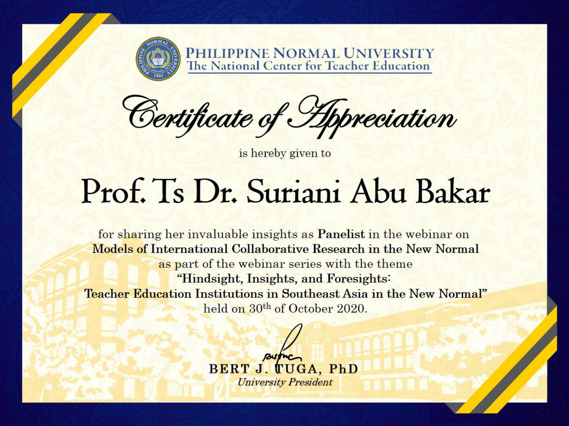

PHILIPPINE NORMAL UNIVERSITY<br>The National Center for Teacher Education

Certificate of Appreciation

is hereby given to

## Prof. Ts Dr. Suriani Abu Bakar

for sharing her invaluable insights as Panelist in the webinar on **Models of International Collaborative Research in the New Normal** as part of the webinar series with the theme "Hindsight, Insights, and Foresights: Teacher Education Institutions in Southeast Asia in the New Normal" held on 30<sup>th</sup> of October 2020.

> BERT J. TUGA, PhD **University President**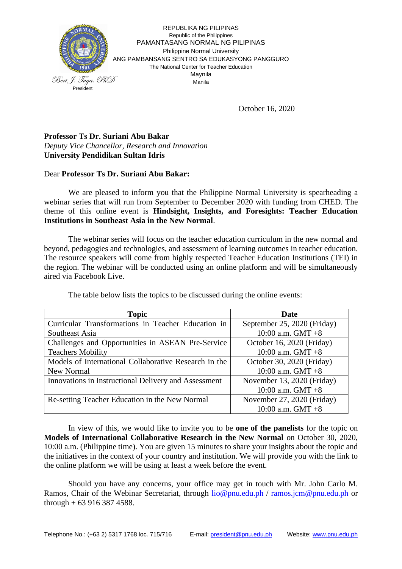

REPUBLIKA NG PILIPINAS Republic of the Philippines PAMANTASANG NORMAL NG PILIPINAS Philippine Normal University ANG PAMBANSANG SENTRO SA EDUKASYONG PANGGURO The National Center for Teacher Education Maynila Manila

October 16, 2020

## **Professor Ts Dr. Suriani Abu Bakar** *Deputy Vice Chancellor, Research and Innovation* **University Pendidikan Sultan Idris**

## Dear **Professor Ts Dr. Suriani Abu Bakar:**

We are pleased to inform you that the Philippine Normal University is spearheading a webinar series that will run from September to December 2020 with funding from CHED. The theme of this online event is **Hindsight, Insights, and Foresights: Teacher Education Institutions in Southeast Asia in the New Normal**.

The webinar series will focus on the teacher education curriculum in the new normal and beyond, pedagogies and technologies, and assessment of learning outcomes in teacher education. The resource speakers will come from highly respected Teacher Education Institutions (TEI) in the region. The webinar will be conducted using an online platform and will be simultaneously aired via Facebook Live.

| <b>Topic</b>                                          | Date                        |
|-------------------------------------------------------|-----------------------------|
| Curricular Transformations in Teacher Education in    | September 25, 2020 (Friday) |
| Southeast Asia                                        | 10:00 a.m. GMT $+8$         |
| Challenges and Opportunities in ASEAN Pre-Service     | October 16, 2020 (Friday)   |
| <b>Teachers Mobility</b>                              | 10:00 a.m. $GMT +8$         |
| Models of International Collaborative Research in the | October 30, 2020 (Friday)   |
| New Normal                                            | 10:00 a.m. GMT $+8$         |
| Innovations in Instructional Delivery and Assessment  | November 13, 2020 (Friday)  |
|                                                       | 10:00 a.m. $GMT +8$         |
| Re-setting Teacher Education in the New Normal        | November 27, 2020 (Friday)  |
|                                                       | 10:00 a.m. GMT $+8$         |

The table below lists the topics to be discussed during the online events:

In view of this, we would like to invite you to be **one of the panelists** for the topic on **Models of International Collaborative Research in the New Normal** on October 30, 2020, 10:00 a.m. (Philippine time). You are given 15 minutes to share your insights about the topic and the initiatives in the context of your country and institution. We will provide you with the link to the online platform we will be using at least a week before the event.

Should you have any concerns, your office may get in touch with Mr. John Carlo M. Ramos, Chair of the Webinar Secretariat, through [lio@pnu.edu.ph](mailto:lio@pnu.edu.ph) / [ramos.jcm@pnu.edu.ph](mailto:ramos.jcm@pnu.edu.ph) or through  $+ 639163874588$ .